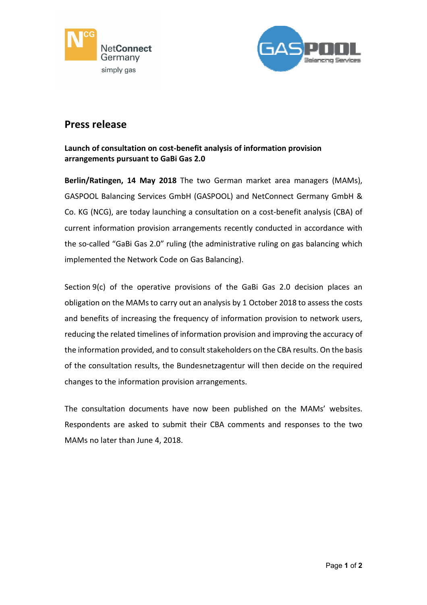



## **Press release**

## **Launch of consultation on cost-benefit analysis of information provision arrangements pursuant to GaBi Gas 2.0**

**Berlin/Ratingen, 14 May 2018** The two German market area managers (MAMs), GASPOOL Balancing Services GmbH (GASPOOL) and NetConnect Germany GmbH & Co. KG (NCG), are today launching a consultation on a cost-benefit analysis (CBA) of current information provision arrangements recently conducted in accordance with the so-called "GaBi Gas 2.0" ruling (the administrative ruling on gas balancing which implemented the Network Code on Gas Balancing).

Section 9(c) of the operative provisions of the GaBi Gas 2.0 decision places an obligation on the MAMs to carry out an analysis by 1 October 2018 to assess the costs and benefits of increasing the frequency of information provision to network users, reducing the related timelines of information provision and improving the accuracy of the information provided, and to consult stakeholders on the CBA results. On the basis of the consultation results, the Bundesnetzagentur will then decide on the required changes to the information provision arrangements.

The consultation documents have now been published on the MAMs' websites. Respondents are asked to submit their CBA comments and responses to the two MAMs no later than June 4, 2018.